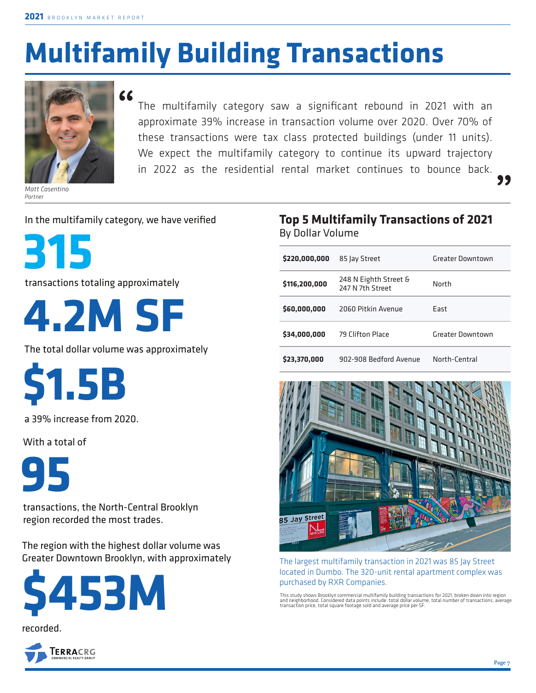# **Multifamily Building Transactions**



*Matt Cosentino Partner*

The multifamily category saw a significant rebound in 2021 with an approximate 39% increase in transaction volume over 2020. Over 70% of these transactions were tax class protected buildings (under 11 units). We expect the multifamily category to continue its upward trajectory in 2022 as the residential rental market continues to bounce back. **"**

In the multifamily category, we have verified



transactions totaling approximately



The total dollar volume was approximately

**\$1.5B**

a 39% increase from 2020.

With a total of



transactions, the North-Central Brooklyn region recorded the most trades.

The region with the highest dollar volume was Greater Downtown Brooklyn, with approximately







#### **Top 5 Multifamily Transactions of 2021**  By Dollar Volume

| \$220,000,000 | 85 Jay Street                             | Greater Downtown |  |  |
|---------------|-------------------------------------------|------------------|--|--|
| \$116,200,000 | 248 N Eighth Street &<br>247 N 7th Street | North            |  |  |
| \$60,000,000  | 2060 Pitkin Avenue                        | Fast             |  |  |
| \$34,000,000  | 79 Clifton Place                          | Greater Downtown |  |  |
| \$23,370,000  | 902-908 Bedford Avenue                    | North-Central    |  |  |



The largest multifamily transaction in 2021 was 85 Jay Street located in Dumbo. The 320-unit rental apartment complex was purchased by RXR Companies.

This study shows Brooklyn commercial multifamily building transactions for 2021, broken down into region<br>and neighborhood. Considered data points include: total dollar volume, total number of transactions, average<br>transact

**"**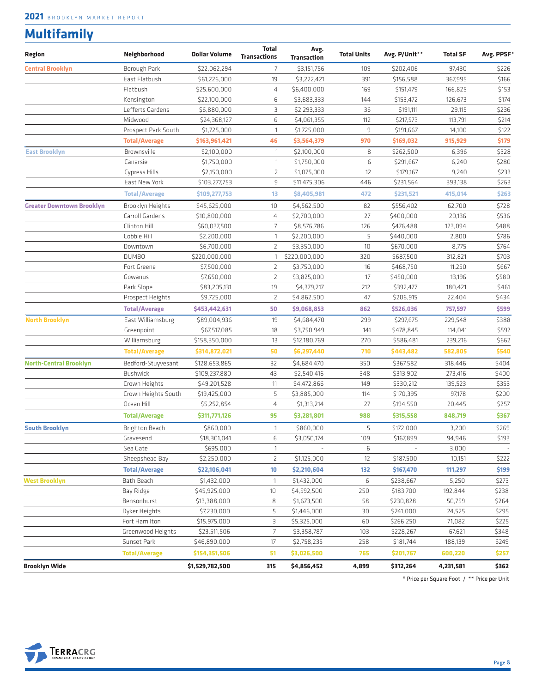### **Multifamily**

| Region                           | Neighborhood         | <b>Dollar Volume</b> | <b>Total</b><br><b>Transactions</b> | Avg.<br><b>Transaction</b> | <b>Total Units</b> | Avg. P/Unit** | <b>Total SF</b> | Avg. PPSF* |
|----------------------------------|----------------------|----------------------|-------------------------------------|----------------------------|--------------------|---------------|-----------------|------------|
| <b>Central Brooklyn</b>          | Borough Park         | \$22,062,294         | $\overline{7}$                      | \$3,151,756                | 109                | \$202,406     | 97,430          | \$226      |
|                                  | East Flatbush        | \$61,226,000         | 19                                  | \$3,222,421                | 391                | \$156,588     | 367,995         | \$166      |
|                                  | Flatbush             | \$25,600,000         | 4                                   | \$6,400,000                | 169                | \$151,479     | 166,825         | \$153      |
|                                  | Kensington           | \$22,100,000         | 6                                   | \$3,683,333                | 144                | \$153,472     | 126,673         | \$174      |
|                                  | Lefferts Gardens     | \$6,880,000          | З                                   | \$2,293,333                | 36                 | \$191,111     | 29,115          | \$236      |
|                                  | Midwood              | \$24,368,127         | 6                                   | \$4,061,355                | 112                | \$217,573     | 113,791         | \$214      |
|                                  | Prospect Park South  | \$1,725,000          | $\mathbf{1}$                        | \$1,725,000                | 9                  | \$191,667     | 14,100          | \$122      |
|                                  | <b>Total/Average</b> | \$163,961,421        | 46                                  | \$3,564,379                | 970                | \$169,032     | 915,929         | \$179      |
| <b>East Brooklyn</b>             | Brownsville          | \$2,100,000          | $\mathbf{1}$                        | \$2,100,000                | 8                  | \$262,500     | 6,396           | \$328      |
|                                  | Canarsie             | \$1,750,000          | $\mathbf{1}$                        | \$1,750,000                | 6                  | \$291,667     | 6,240           | \$280      |
|                                  | Cypress Hills        | \$2,150,000          | 2                                   | \$1,075,000                | 12                 | \$179,167     | 9,240           | \$233      |
|                                  | East New York        | \$103,277,753        | 9                                   | \$11,475,306               | 446                | \$231,564     | 393,138         | \$263      |
|                                  | <b>Total/Average</b> | \$109,277,753        | 13                                  | \$8,405,981                | 472                | \$231,521     | 415,014         | \$263      |
| <b>Greater Downtown Brooklyn</b> | Brooklyn Heights     | \$45,625,000         | 10                                  | \$4,562,500                | 82                 | \$556,402     | 62,700          | \$728      |
|                                  | Carroll Gardens      | \$10,800,000         | 4                                   | \$2,700,000                | 27                 | \$400,000     | 20,136          | \$536      |
|                                  | Clinton Hill         | \$60,037,500         | $\overline{7}$                      | \$8,576,786                | 126                | \$476,488     | 123,094         | \$488      |
|                                  | Cobble Hill          | \$2,200,000          | $\overline{1}$                      | \$2,200,000                | 5                  | \$440,000     | 2,800           | \$786      |
|                                  | Downtown             | \$6,700,000          | $\overline{2}$                      | \$3,350,000                | 10                 | \$670,000     | 8,775           | \$764      |
|                                  | <b>DUMBO</b>         | \$220,000,000        | $\mathbf{1}$                        | \$220,000,000              | 320                | \$687,500     | 312,821         | \$703      |
|                                  | Fort Greene          | \$7,500,000          | 2                                   | \$3,750,000                | 16                 | \$468,750     | 11,250          | \$667      |
|                                  | Gowanus              | \$7,650,000          | $\overline{2}$                      | \$3,825,000                | 17                 | \$450,000     | 13,196          | \$580      |
|                                  | Park Slope           | \$83,205,131         | 19                                  | \$4,379,217                | 212                | \$392,477     | 180,421         | \$461      |
|                                  | Prospect Heights     | \$9,725,000          | $\overline{2}$                      | \$4,862,500                | 47                 | \$206,915     | 22,404          | \$434      |
|                                  | <b>Total/Average</b> | \$453,442,631        | 50                                  | \$9,068,853                | 862                | \$526,036     | 757,597         | \$599      |
| <b>North Brooklyn</b>            | East Williamsburg    | \$89,004,936         | 19                                  | \$4,684,470                | 299                | \$297,675     | 229,548         | \$388      |
|                                  | Greenpoint           | \$67,517,085         | 18                                  | \$3,750,949                | 141                | \$478,845     | 114,041         | \$592      |
|                                  | Williamsburg         | \$158,350,000        | 13                                  | \$12,180,769               | 270                | \$586,481     | 239,216         | \$662      |
|                                  | <b>Total/Average</b> | \$314,872,021        | 50                                  | \$6,297,440                | 710                | \$443,482     | 582,805         | \$540      |
| <b>North-Central Brooklyn</b>    | Bedford-Stuyvesant   | \$128,653,865        | 32                                  | \$4,684,470                | 350                | \$367,582     | 318,446         | \$404      |
|                                  | <b>Bushwick</b>      | \$109,237,880        | 43                                  | \$2,540,416                | 348                | \$313,902     | 273,416         | \$400      |
|                                  | Crown Heights        | \$49,201,528         | 11                                  | \$4,472,866                | 149                | \$330,212     | 139,523         | \$353      |
|                                  | Crown Heights South  | \$19,425,000         | 5                                   | \$3,885,000                | 114                | \$170,395     | 97,178          | \$200      |
|                                  | Ocean Hill           | \$5,252,854          | 4                                   | \$1,313,214                | 27                 | \$194,550     | 20,445          | \$257      |
|                                  | <b>Total/Average</b> | \$311,771,126        | 95                                  | \$3,281,801                | 988                | \$315,558     | 848,719         | \$367      |
| <b>South Brooklyn</b>            | Brighton Beach       | \$860,000            | $\mathbf{1}$                        | \$860,000                  | 5                  | \$172,000     | 3,200           | \$269      |
|                                  | Gravesend            | \$18,301,041         | 6                                   | \$3,050,174                | 109                | \$167,899     | 94,946          | \$193      |
|                                  | Sea Gate             | \$695,000            | $\mathbf{1}$                        |                            | 6                  |               | 3,000           |            |
|                                  | Sheepshead Bay       | \$2,250,000          | $\overline{2}$                      | \$1,125,000                | 12                 | \$187,500     | 10,151          | \$222      |
|                                  | <b>Total/Average</b> | \$22,106,041         | $10\,$                              | \$2,210,604                | 132                | \$167,470     | 111,297         | \$199      |
| <b>West Brooklyn</b>             | Bath Beach           | \$1,432,000          | $\mathbf{1}$                        | \$1,432,000                | 6                  | \$238,667     | 5,250           | \$273      |
|                                  | Bay Ridge            | \$45,925,000         | 10                                  | \$4,592,500                | 250                | \$183,700     | 192,844         | \$238      |
|                                  | Bensonhurst          | \$13,388,000         | 8                                   | \$1,673,500                | 58                 | \$230,828     | 50,759          | \$264      |
|                                  | Dyker Heights        | \$7,230,000          | 5                                   | \$1,446,000                | 30                 | \$241,000     | 24,525          | \$295      |
|                                  | Fort Hamilton        | \$15,975,000         | 3                                   | \$5,325,000                | 60                 | \$266,250     | 71,082          | \$225      |
|                                  | Greenwood Heights    | \$23,511,506         | $\overline{7}$                      | \$3,358,787                | 103                | \$228,267     | 67,621          | \$348      |
|                                  | Sunset Park          | \$46,890,000         | 17                                  | \$2,758,235                | 258                | \$181,744     | 188,139         | \$249      |
|                                  | <b>Total/Average</b> | \$154,351,506        | 51                                  | \$3,026,500                | 765                | \$201,767     | 600,220         | \$257      |
| Brooklyn Wide                    |                      | \$1,529,782,500      | 315                                 | \$4,856,452                | 4,899              | \$312,264     | 4,231,581       | \$362      |

\* Price per Square Foot / \*\* Price per Unit